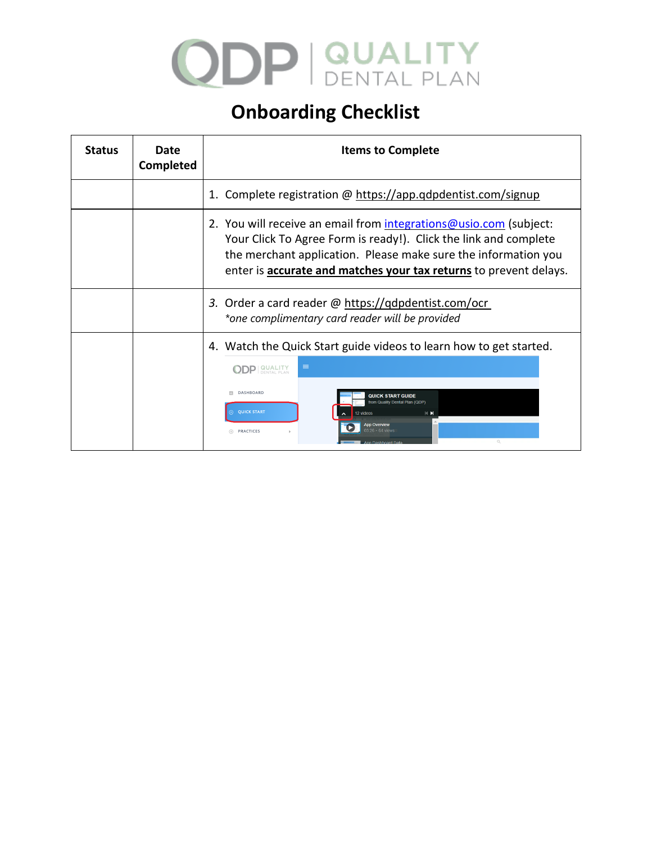## **ODP | QUALITY**

## **Onboarding Checklist**

| <b>Status</b> | Date<br>Completed | <b>Items to Complete</b>                                                                                                                                                                                                                                                            |
|---------------|-------------------|-------------------------------------------------------------------------------------------------------------------------------------------------------------------------------------------------------------------------------------------------------------------------------------|
|               |                   | 1. Complete registration @ https://app.gdpdentist.com/signup                                                                                                                                                                                                                        |
|               |                   | 2. You will receive an email from integrations@usio.com (subject:<br>Your Click To Agree Form is ready!). Click the link and complete<br>the merchant application. Please make sure the information you<br>enter is <b>accurate and matches your tax returns</b> to prevent delays. |
|               |                   | 3. Order a card reader $\omega$ https://qdpdentist.com/ocr<br>*one complimentary card reader will be provided                                                                                                                                                                       |
|               |                   | 4. Watch the Quick Start guide videos to learn how to get started.<br>$\equiv$<br><b>ODP <i>QUALITY</i></b><br><b>DASHBOARD</b><br><b>QUICK START GUIDE</b><br>from Quality Dental Plan<br><b>QUICK START</b><br>12 videos<br><b>HN</b><br>A PRACTICES                              |